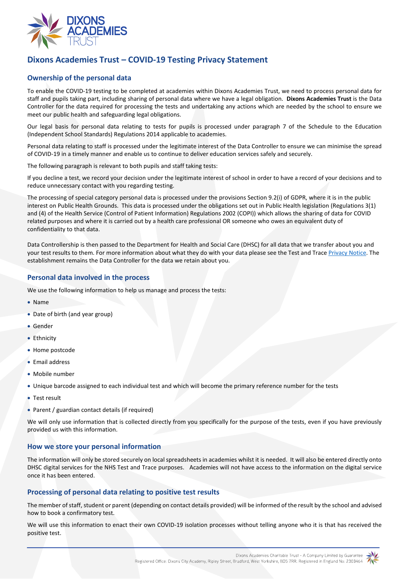

# **Dixons Academies Trust – COVID-19 Testing Privacy Statement**

# **Ownership of the personal data**

To enable the COVID-19 testing to be completed at academies within Dixons Academies Trust, we need to process personal data for staff and pupils taking part, including sharing of personal data where we have a legal obligation. **Dixons Academies Trust** is the Data Controller for the data required for processing the tests and undertaking any actions which are needed by the school to ensure we meet our public health and safeguarding legal obligations.

Our legal basis for personal data relating to tests for pupils is processed under paragraph 7 of the Schedule to the Education (Independent School Standards) Regulations 2014 applicable to academies.

Personal data relating to staff is processed under the legitimate interest of the Data Controller to ensure we can minimise the spread of COVID-19 in a timely manner and enable us to continue to deliver education services safely and securely.

The following paragraph is relevant to both pupils and staff taking tests:

If you decline a test, we record your decision under the legitimate interest of school in order to have a record of your decisions and to reduce unnecessary contact with you regarding testing.

The processing of special category personal data is processed under the provisions Section 9.2(i) of GDPR, where it is in the public interest on Public Health Grounds. This data is processed under the obligations set out in Public Health legislation (Regulations 3(1) and (4) of the Health Service (Control of Patient Information) Regulations 2002 (COPI)) which allows the sharing of data for COVID related purposes and where it is carried out by a health care professional OR someone who owes an equivalent duty of confidentiality to that data.

Data Controllership is then passed to the Department for Health and Social Care (DHSC) for all data that we transfer about you and your test results to them. For more information about what they do with your data please see the Test and Trace [Privacy Notice.](https://contact-tracing.phe.gov.uk/help/privacy-notice) The establishment remains the Data Controller for the data we retain about you.

## **Personal data involved in the process**

We use the following information to help us manage and process the tests:

- Name
- Date of birth (and year group)
- Gender
- Ethnicity
- Home postcode
- Email address
- Mobile number
- Unique barcode assigned to each individual test and which will become the primary reference number for the tests
- Test result
- Parent / guardian contact details (if required)

We will only use information that is collected directly from you specifically for the purpose of the tests, even if you have previously provided us with this information.

## **How we store your personal information**

The information will only be stored securely on local spreadsheets in academies whilst it is needed. It will also be entered directly onto DHSC digital services for the NHS Test and Trace purposes. Academies will not have access to the information on the digital service once it has been entered.

## **Processing of personal data relating to positive test results**

The member of staff, student or parent (depending on contact details provided) will be informed of the result by the school and advised how to book a confirmatory test.

We will use this information to enact their own COVID-19 isolation processes without telling anyone who it is that has received the positive test.